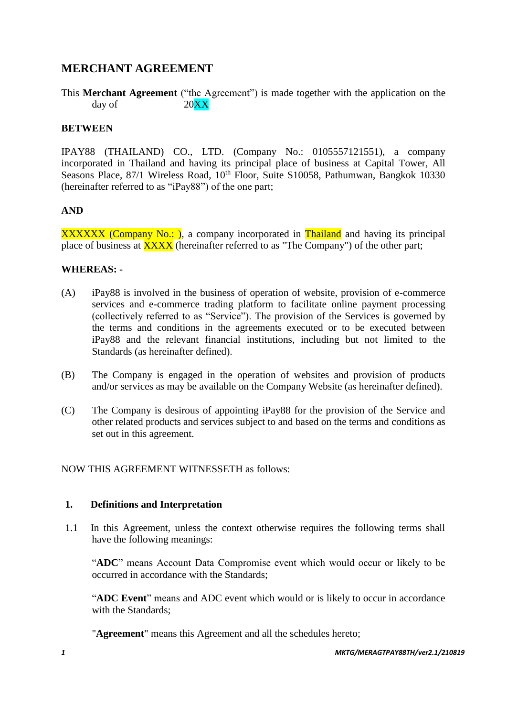## **MERCHANT AGREEMENT**

This **Merchant Agreement** ("the Agreement") is made together with the application on the day of  $20\text{XX}$ 

### **BETWEEN**

IPAY88 (THAILAND) CO., LTD. (Company No.: 0105557121551), a company incorporated in Thailand and having its principal place of business at Capital Tower, All Seasons Place, 87/1 Wireless Road, 10<sup>th</sup> Floor, Suite S10058, Pathumwan, Bangkok 10330 (hereinafter referred to as "iPay88") of the one part;

### **AND**

XXXXXX (Company No.: ), a company incorporated in Thailand and having its principal place of business at **XXXX** (hereinafter referred to as "The Company") of the other part;

### **WHEREAS: -**

- (A) iPay88 is involved in the business of operation of website, provision of e-commerce services and e-commerce trading platform to facilitate online payment processing (collectively referred to as "Service"). The provision of the Services is governed by the terms and conditions in the agreements executed or to be executed between iPay88 and the relevant financial institutions, including but not limited to the Standards (as hereinafter defined).
- (B) The Company is engaged in the operation of websites and provision of products and/or services as may be available on the Company Website (as hereinafter defined).
- (C) The Company is desirous of appointing iPay88 for the provision of the Service and other related products and services subject to and based on the terms and conditions as set out in this agreement.

NOW THIS AGREEMENT WITNESSETH as follows:

### **1. Definitions and Interpretation**

1.1 In this Agreement, unless the context otherwise requires the following terms shall have the following meanings:

"**ADC**" means Account Data Compromise event which would occur or likely to be occurred in accordance with the Standards;

"**ADC Event**" means and ADC event which would or is likely to occur in accordance with the Standards;

"**Agreement**" means this Agreement and all the schedules hereto;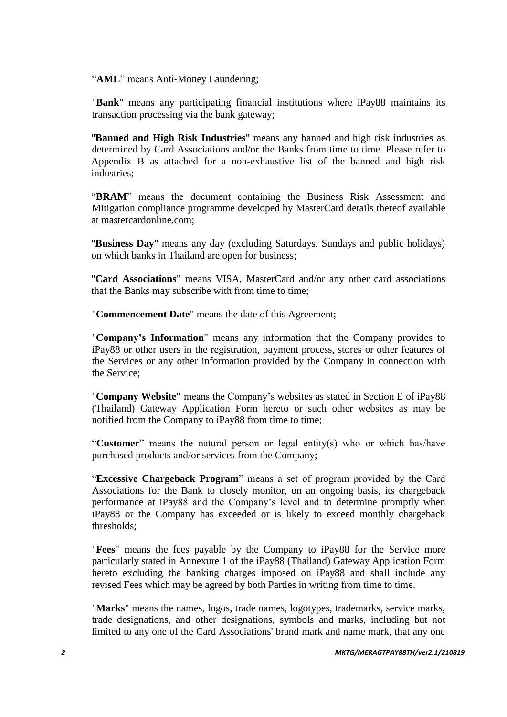"AML" means Anti-Money Laundering;

"**Bank**" means any participating financial institutions where iPay88 maintains its transaction processing via the bank gateway;

"**Banned and High Risk Industries**" means any banned and high risk industries as determined by Card Associations and/or the Banks from time to time. Please refer to Appendix B as attached for a non-exhaustive list of the banned and high risk industries;

"**BRAM**" means the document containing the Business Risk Assessment and Mitigation compliance programme developed by MasterCard details thereof available at mastercardonline.com;

"**Business Day**" means any day (excluding Saturdays, Sundays and public holidays) on which banks in Thailand are open for business;

"**Card Associations**" means VISA, MasterCard and/or any other card associations that the Banks may subscribe with from time to time;

"**Commencement Date**" means the date of this Agreement;

"**Company's Information**" means any information that the Company provides to iPay88 or other users in the registration, payment process, stores or other features of the Services or any other information provided by the Company in connection with the Service;

"**Company Website**" means the Company's websites as stated in Section E of iPay88 (Thailand) Gateway Application Form hereto or such other websites as may be notified from the Company to iPay88 from time to time;

"**Customer**" means the natural person or legal entity(s) who or which has/have purchased products and/or services from the Company;

"**Excessive Chargeback Program**" means a set of program provided by the Card Associations for the Bank to closely monitor, on an ongoing basis, its chargeback performance at iPay88 and the Company's level and to determine promptly when iPay88 or the Company has exceeded or is likely to exceed monthly chargeback thresholds;

"**Fees**" means the fees payable by the Company to iPay88 for the Service more particularly stated in Annexure 1 of the iPay88 (Thailand) Gateway Application Form hereto excluding the banking charges imposed on iPay88 and shall include any revised Fees which may be agreed by both Parties in writing from time to time.

"**Marks**" means the names, logos, trade names, logotypes, trademarks, service marks, trade designations, and other designations, symbols and marks, including but not limited to any one of the Card Associations' brand mark and name mark, that any one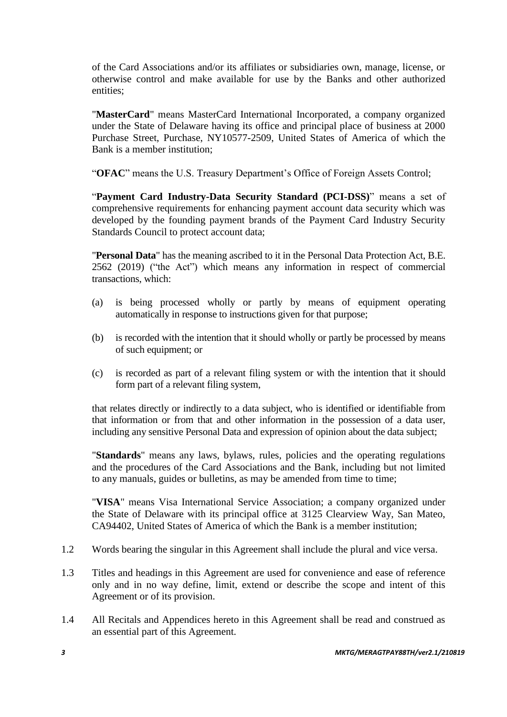of the Card Associations and/or its affiliates or subsidiaries own, manage, license, or otherwise control and make available for use by the Banks and other authorized entities;

"**MasterCard**" means MasterCard International Incorporated, a company organized under the State of Delaware having its office and principal place of business at 2000 Purchase Street, Purchase, NY10577-2509, United States of America of which the Bank is a member institution;

"**OFAC**" means the U.S. Treasury Department's Office of Foreign Assets Control;

"**Payment Card Industry-Data Security Standard (PCI-DSS)**" means a set of comprehensive requirements for enhancing payment account data security which was developed by the founding payment brands of the Payment Card Industry Security Standards Council to protect account data;

"**Personal Data**" has the meaning ascribed to it in the Personal Data Protection Act, B.E. 2562 (2019) ("the Act") which means any information in respect of commercial transactions, which:

- (a) is being processed wholly or partly by means of equipment operating automatically in response to instructions given for that purpose;
- (b) is recorded with the intention that it should wholly or partly be processed by means of such equipment; or
- (c) is recorded as part of a relevant filing system or with the intention that it should form part of a relevant filing system,

that relates directly or indirectly to a data subject, who is identified or identifiable from that information or from that and other information in the possession of a data user, including any sensitive Personal Data and expression of opinion about the data subject;

"**Standards**" means any laws, bylaws, rules, policies and the operating regulations and the procedures of the Card Associations and the Bank, including but not limited to any manuals, guides or bulletins, as may be amended from time to time;

"**VISA**" means Visa International Service Association; a company organized under the State of Delaware with its principal office at 3125 Clearview Way, San Mateo, CA94402, United States of America of which the Bank is a member institution;

- 1.2 Words bearing the singular in this Agreement shall include the plural and vice versa.
- 1.3 Titles and headings in this Agreement are used for convenience and ease of reference only and in no way define, limit, extend or describe the scope and intent of this Agreement or of its provision.
- 1.4 All Recitals and Appendices hereto in this Agreement shall be read and construed as an essential part of this Agreement.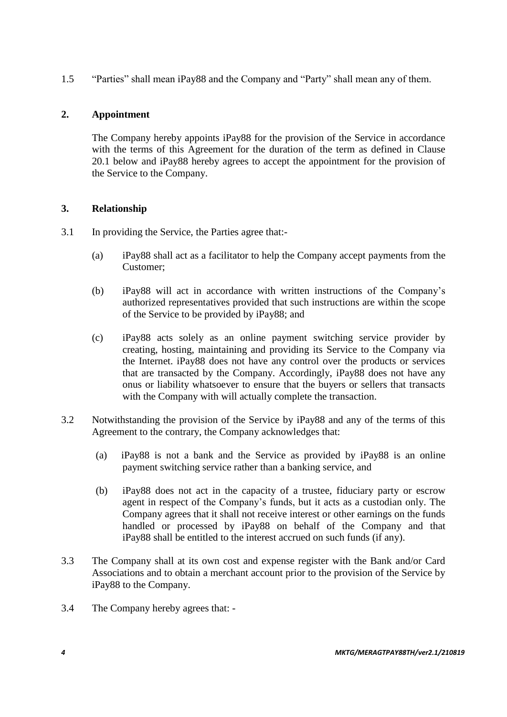1.5 "Parties" shall mean iPay88 and the Company and "Party" shall mean any of them.

### **2. Appointment**

The Company hereby appoints iPay88 for the provision of the Service in accordance with the terms of this Agreement for the duration of the term as defined in Clause 20.1 below and iPay88 hereby agrees to accept the appointment for the provision of the Service to the Company.

### **3. Relationship**

- 3.1 In providing the Service, the Parties agree that:-
	- (a) iPay88 shall act as a facilitator to help the Company accept payments from the Customer;
	- (b) iPay88 will act in accordance with written instructions of the Company's authorized representatives provided that such instructions are within the scope of the Service to be provided by iPay88; and
	- (c) iPay88 acts solely as an online payment switching service provider by creating, hosting, maintaining and providing its Service to the Company via the Internet. iPay88 does not have any control over the products or services that are transacted by the Company. Accordingly, iPay88 does not have any onus or liability whatsoever to ensure that the buyers or sellers that transacts with the Company with will actually complete the transaction.
- 3.2 Notwithstanding the provision of the Service by iPay88 and any of the terms of this Agreement to the contrary, the Company acknowledges that:
	- (a) iPay88 is not a bank and the Service as provided by iPay88 is an online payment switching service rather than a banking service, and
	- (b) iPay88 does not act in the capacity of a trustee, fiduciary party or escrow agent in respect of the Company's funds, but it acts as a custodian only. The Company agrees that it shall not receive interest or other earnings on the funds handled or processed by iPay88 on behalf of the Company and that iPay88 shall be entitled to the interest accrued on such funds (if any).
- 3.3 The Company shall at its own cost and expense register with the Bank and/or Card Associations and to obtain a merchant account prior to the provision of the Service by iPay88 to the Company.
- 3.4 The Company hereby agrees that: -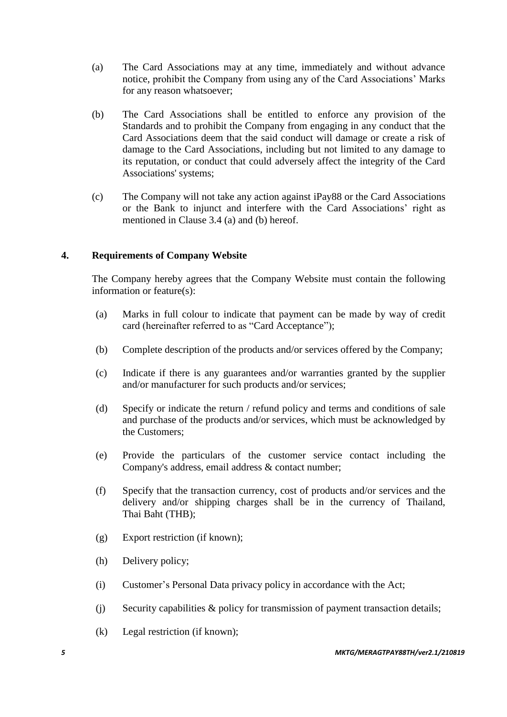- (a) The Card Associations may at any time, immediately and without advance notice, prohibit the Company from using any of the Card Associations' Marks for any reason whatsoever;
- (b)The Card Associations shall be entitled to enforce any provision of the Standards and to prohibit the Company from engaging in any conduct that the Card Associations deem that the said conduct will damage or create a risk of damage to the Card Associations, including but not limited to any damage to its reputation, or conduct that could adversely affect the integrity of the Card Associations' systems;
- (c) The Company will not take any action against iPay88 or the Card Associations or the Bank to injunct and interfere with the Card Associations' right as mentioned in Clause 3.4 (a) and (b) hereof.

### **4. Requirements of Company Website**

The Company hereby agrees that the Company Website must contain the following information or feature(s):

- (a) Marks in full colour to indicate that payment can be made by way of credit card (hereinafter referred to as "Card Acceptance");
- (b) Complete description of the products and/or services offered by the Company;
- (c) Indicate if there is any guarantees and/or warranties granted by the supplier and/or manufacturer for such products and/or services;
- (d) Specify or indicate the return / refund policy and terms and conditions of sale and purchase of the products and/or services, which must be acknowledged by the Customers;
- (e)Provide the particulars of the customer service contact including the Company's address, email address & contact number;
- (f) Specify that the transaction currency, cost of products and/or services and the delivery and/or shipping charges shall be in the currency of Thailand, Thai Baht (THB);
- (g)Export restriction (if known);
- (h) Delivery policy;
- (i) Customer's Personal Data privacy policy in accordance with the Act;
- (j) Security capabilities & policy for transmission of payment transaction details;
- (k) Legal restriction (if known);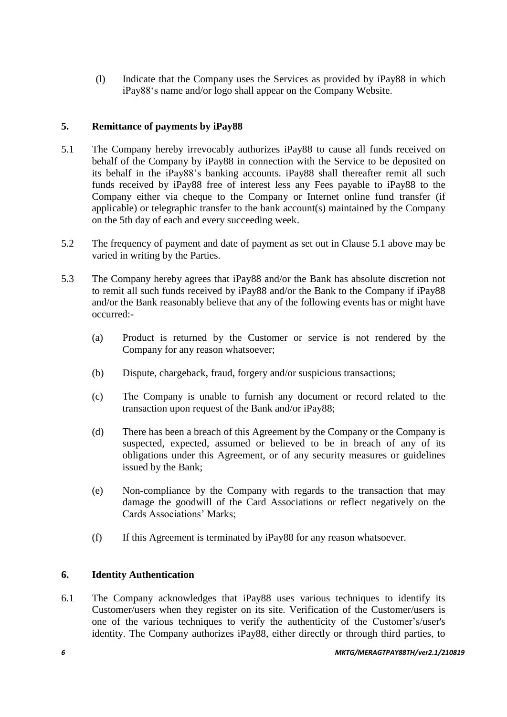(l) Indicate that the Company uses the Services as provided by iPay88 in which iPay88's name and/or logo shall appear on the Company Website.

### **5. Remittance of payments by iPay88**

- 5.1 The Company hereby irrevocably authorizes iPay88 to cause all funds received on behalf of the Company by iPay88 in connection with the Service to be deposited on its behalf in the iPay88's banking accounts. iPay88 shall thereafter remit all such funds received by iPay88 free of interest less any Fees payable to iPay88 to the Company either via cheque to the Company or Internet online fund transfer (if applicable) or telegraphic transfer to the bank account(s) maintained by the Company on the 5th day of each and every succeeding week.
- 5.2 The frequency of payment and date of payment as set out in Clause 5.1 above may be varied in writing by the Parties.
- 5.3 The Company hereby agrees that iPay88 and/or the Bank has absolute discretion not to remit all such funds received by iPay88 and/or the Bank to the Company if iPay88 and/or the Bank reasonably believe that any of the following events has or might have occurred:-
	- (a) Product is returned by the Customer or service is not rendered by the Company for any reason whatsoever;
	- (b) Dispute, chargeback, fraud, forgery and/or suspicious transactions;
	- (c) The Company is unable to furnish any document or record related to the transaction upon request of the Bank and/or iPay88;
	- (d) There has been a breach of this Agreement by the Company or the Company is suspected, expected, assumed or believed to be in breach of any of its obligations under this Agreement, or of any security measures or guidelines issued by the Bank;
	- (e) Non-compliance by the Company with regards to the transaction that may damage the goodwill of the Card Associations or reflect negatively on the Cards Associations' Marks;
	- (f) If this Agreement is terminated by iPay88 for any reason whatsoever.

### **6. Identity Authentication**

6.1 The Company acknowledges that iPay88 uses various techniques to identify its Customer/users when they register on its site. Verification of the Customer/users is one of the various techniques to verify the authenticity of the Customer's/user's identity. The Company authorizes iPay88, either directly or through third parties, to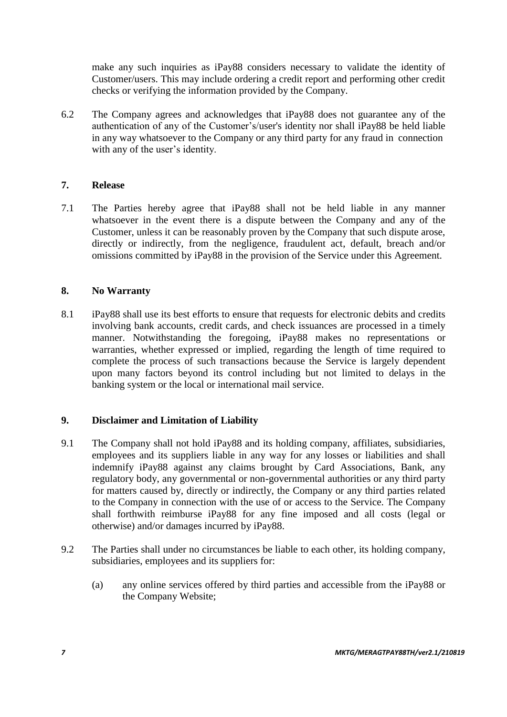make any such inquiries as iPay88 considers necessary to validate the identity of Customer/users. This may include ordering a credit report and performing other credit checks or verifying the information provided by the Company.

6.2 The Company agrees and acknowledges that iPay88 does not guarantee any of the authentication of any of the Customer's/user's identity nor shall iPay88 be held liable in any way whatsoever to the Company or any third party for any fraud in connection with any of the user's identity.

### **7. Release**

7.1 The Parties hereby agree that iPay88 shall not be held liable in any manner whatsoever in the event there is a dispute between the Company and any of the Customer, unless it can be reasonably proven by the Company that such dispute arose, directly or indirectly, from the negligence, fraudulent act, default, breach and/or omissions committed by iPay88 in the provision of the Service under this Agreement.

### **8. No Warranty**

8.1 iPay88 shall use its best efforts to ensure that requests for electronic debits and credits involving bank accounts, credit cards, and check issuances are processed in a timely manner. Notwithstanding the foregoing, iPay88 makes no representations or warranties, whether expressed or implied, regarding the length of time required to complete the process of such transactions because the Service is largely dependent upon many factors beyond its control including but not limited to delays in the banking system or the local or international mail service.

### **9. Disclaimer and Limitation of Liability**

- 9.1 The Company shall not hold iPay88 and its holding company, affiliates, subsidiaries, employees and its suppliers liable in any way for any losses or liabilities and shall indemnify iPay88 against any claims brought by Card Associations, Bank, any regulatory body, any governmental or non-governmental authorities or any third party for matters caused by, directly or indirectly, the Company or any third parties related to the Company in connection with the use of or access to the Service. The Company shall forthwith reimburse iPay88 for any fine imposed and all costs (legal or otherwise) and/or damages incurred by iPay88.
- 9.2 The Parties shall under no circumstances be liable to each other, its holding company, subsidiaries, employees and its suppliers for:
	- (a) any online services offered by third parties and accessible from the iPay88 or the Company Website;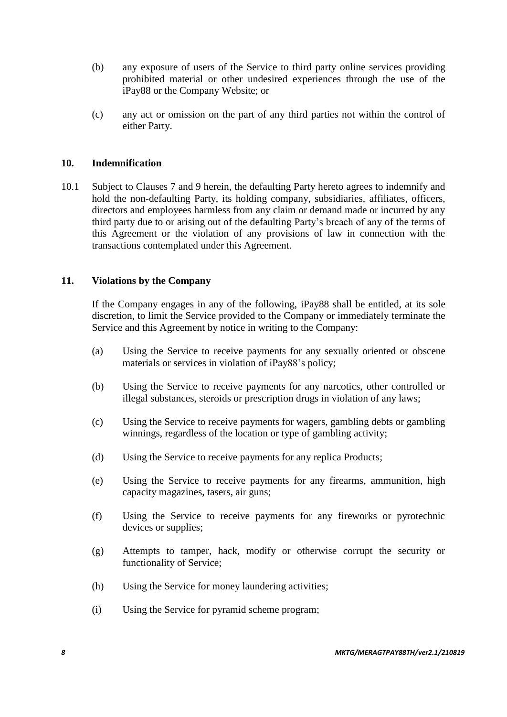- (b) any exposure of users of the Service to third party online services providing prohibited material or other undesired experiences through the use of the iPay88 or the Company Website; or
- (c) any act or omission on the part of any third parties not within the control of either Party.

### **10. Indemnification**

10.1 Subject to Clauses 7 and 9 herein, the defaulting Party hereto agrees to indemnify and hold the non-defaulting Party, its holding company, subsidiaries, affiliates, officers, directors and employees harmless from any claim or demand made or incurred by any third party due to or arising out of the defaulting Party's breach of any of the terms of this Agreement or the violation of any provisions of law in connection with the transactions contemplated under this Agreement.

#### **11. Violations by the Company**

If the Company engages in any of the following, iPay88 shall be entitled, at its sole discretion, to limit the Service provided to the Company or immediately terminate the Service and this Agreement by notice in writing to the Company:

- (a) Using the Service to receive payments for any sexually oriented or obscene materials or services in violation of iPay88's policy;
- (b) Using the Service to receive payments for any narcotics, other controlled or illegal substances, steroids or prescription drugs in violation of any laws;
- (c) Using the Service to receive payments for wagers, gambling debts or gambling winnings, regardless of the location or type of gambling activity;
- (d) Using the Service to receive payments for any replica Products;
- (e) Using the Service to receive payments for any firearms, ammunition, high capacity magazines, tasers, air guns;
- (f) Using the Service to receive payments for any fireworks or pyrotechnic devices or supplies;
- (g) Attempts to tamper, hack, modify or otherwise corrupt the security or functionality of Service;
- (h) Using the Service for money laundering activities;
- (i) Using the Service for pyramid scheme program;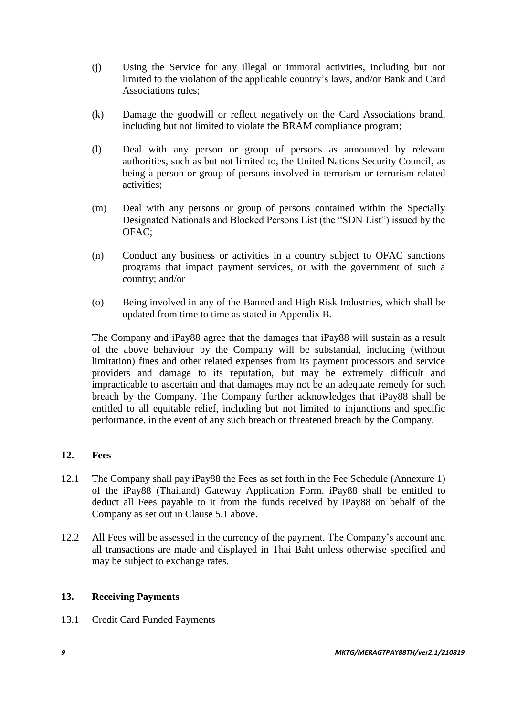- (j) Using the Service for any illegal or immoral activities, including but not limited to the violation of the applicable country's laws, and/or Bank and Card Associations rules;
- (k) Damage the goodwill or reflect negatively on the Card Associations brand, including but not limited to violate the BRAM compliance program;
- (l) Deal with any person or group of persons as announced by relevant authorities, such as but not limited to, the United Nations Security Council, as being a person or group of persons involved in terrorism or terrorism-related activities;
- (m) Deal with any persons or group of persons contained within the Specially Designated Nationals and Blocked Persons List (the "SDN List") issued by the OFAC;
- (n) Conduct any business or activities in a country subject to OFAC sanctions programs that impact payment services, or with the government of such a country; and/or
- (o) Being involved in any of the Banned and High Risk Industries, which shall be updated from time to time as stated in Appendix B.

The Company and iPay88 agree that the damages that iPay88 will sustain as a result of the above behaviour by the Company will be substantial, including (without limitation) fines and other related expenses from its payment processors and service providers and damage to its reputation, but may be extremely difficult and impracticable to ascertain and that damages may not be an adequate remedy for such breach by the Company. The Company further acknowledges that iPay88 shall be entitled to all equitable relief, including but not limited to injunctions and specific performance, in the event of any such breach or threatened breach by the Company.

### **12. Fees**

- 12.1 The Company shall pay iPay88 the Fees as set forth in the Fee Schedule (Annexure 1) of the iPay88 (Thailand) Gateway Application Form. iPay88 shall be entitled to deduct all Fees payable to it from the funds received by iPay88 on behalf of the Company as set out in Clause 5.1 above.
- 12.2 All Fees will be assessed in the currency of the payment. The Company's account and all transactions are made and displayed in Thai Baht unless otherwise specified and may be subject to exchange rates.

### **13. Receiving Payments**

13.1 Credit Card Funded Payments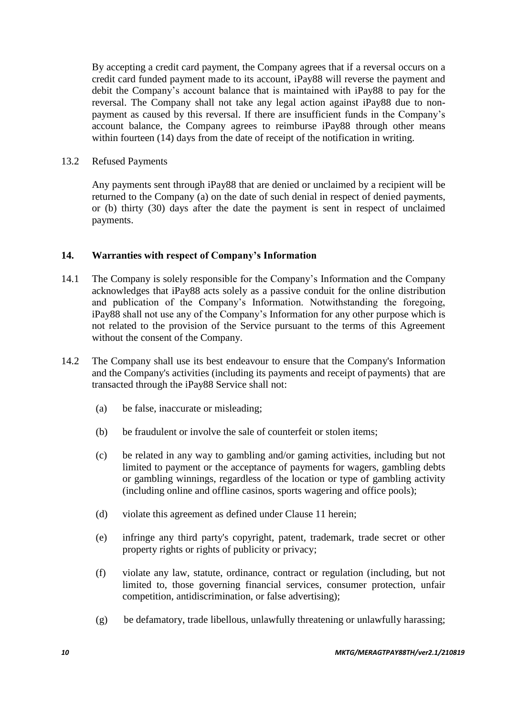By accepting a credit card payment, the Company agrees that if a reversal occurs on a credit card funded payment made to its account, iPay88 will reverse the payment and debit the Company's account balance that is maintained with iPay88 to pay for the reversal. The Company shall not take any legal action against iPay88 due to nonpayment as caused by this reversal. If there are insufficient funds in the Company's account balance, the Company agrees to reimburse iPay88 through other means within fourteen (14) days from the date of receipt of the notification in writing.

13.2 Refused Payments

Any payments sent through iPay88 that are denied or unclaimed by a recipient will be returned to the Company (a) on the date of such denial in respect of denied payments, or (b) thirty (30) days after the date the payment is sent in respect of unclaimed payments.

### **14. Warranties with respect of Company's Information**

- 14.1 The Company is solely responsible for the Company's Information and the Company acknowledges that iPay88 acts solely as a passive conduit for the online distribution and publication of the Company's Information. Notwithstanding the foregoing, iPay88 shall not use any of the Company's Information for any other purpose which is not related to the provision of the Service pursuant to the terms of this Agreement without the consent of the Company.
- 14.2 The Company shall use its best endeavour to ensure that the Company's Information and the Company's activities (including its payments and receipt of payments) that are transacted through the iPay88 Service shall not:
	- (a) be false, inaccurate or misleading;
	- (b) be fraudulent or involve the sale of counterfeit or stolen items;
	- (c) be related in any way to gambling and/or gaming activities, including but not limited to payment or the acceptance of payments for wagers, gambling debts or gambling winnings, regardless of the location or type of gambling activity (including online and offline casinos, sports wagering and office pools);
	- (d) violate this agreement as defined under Clause 11 herein;
	- (e) infringe any third party's copyright, patent, trademark, trade secret or other property rights or rights of publicity or privacy;
	- (f) violate any law, statute, ordinance, contract or regulation (including, but not limited to, those governing financial services, consumer protection, unfair competition, antidiscrimination, or false advertising);
	- (g) be defamatory, trade libellous, unlawfully threatening or unlawfully harassing;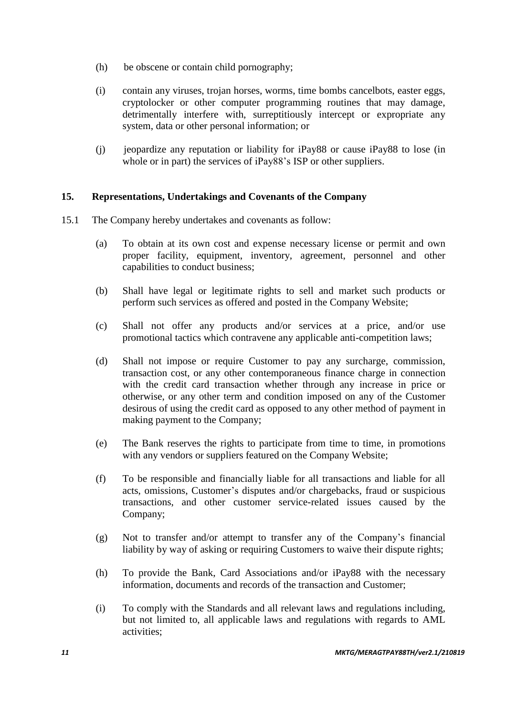- (h) be obscene or contain child pornography;
- (i) contain any viruses, trojan horses, worms, time bombs cancelbots, easter eggs, cryptolocker or other computer programming routines that may damage, detrimentally interfere with, surreptitiously intercept or expropriate any system, data or other personal information; or
- (j) jeopardize any reputation or liability for iPay88 or cause iPay88 to lose (in whole or in part) the services of iPay88's ISP or other suppliers.

### **15. Representations, Undertakings and Covenants of the Company**

- 15.1 The Company hereby undertakes and covenants as follow:
	- (a) To obtain at its own cost and expense necessary license or permit and own proper facility, equipment, inventory, agreement, personnel and other capabilities to conduct business;
	- (b) Shall have legal or legitimate rights to sell and market such products or perform such services as offered and posted in the Company Website;
	- (c) Shall not offer any products and/or services at a price, and/or use promotional tactics which contravene any applicable anti-competition laws;
	- (d) Shall not impose or require Customer to pay any surcharge, commission, transaction cost, or any other contemporaneous finance charge in connection with the credit card transaction whether through any increase in price or otherwise, or any other term and condition imposed on any of the Customer desirous of using the credit card as opposed to any other method of payment in making payment to the Company;
	- (e) The Bank reserves the rights to participate from time to time, in promotions with any vendors or suppliers featured on the Company Website;
	- (f) To be responsible and financially liable for all transactions and liable for all acts, omissions, Customer's disputes and/or chargebacks, fraud or suspicious transactions, and other customer service-related issues caused by the Company;
	- (g) Not to transfer and/or attempt to transfer any of the Company's financial liability by way of asking or requiring Customers to waive their dispute rights;
	- (h) To provide the Bank, Card Associations and/or iPay88 with the necessary information, documents and records of the transaction and Customer;
	- (i) To comply with the Standards and all relevant laws and regulations including, but not limited to, all applicable laws and regulations with regards to AML activities;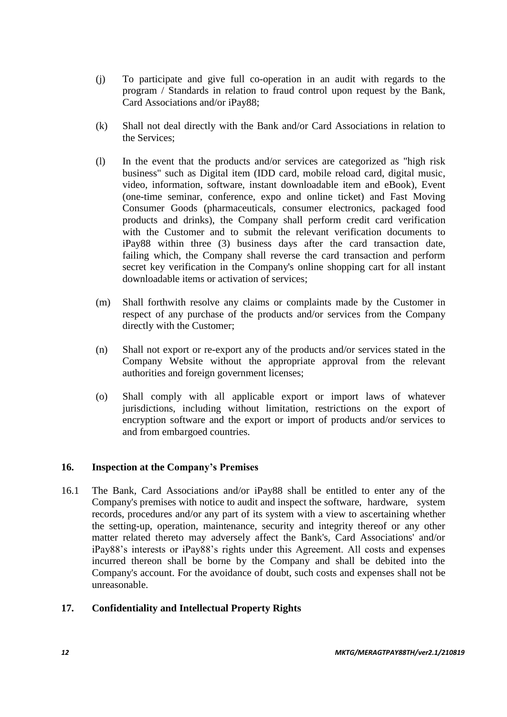- (j) To participate and give full co-operation in an audit with regards to the program / Standards in relation to fraud control upon request by the Bank, Card Associations and/or iPay88;
- (k) Shall not deal directly with the Bank and/or Card Associations in relation to the Services;
- (l) In the event that the products and/or services are categorized as "high risk business" such as Digital item (IDD card, mobile reload card, digital music, video, information, software, instant downloadable item and eBook), Event (one-time seminar, conference, expo and online ticket) and Fast Moving Consumer Goods (pharmaceuticals, consumer electronics, packaged food products and drinks), the Company shall perform credit card verification with the Customer and to submit the relevant verification documents to iPay88 within three (3) business days after the card transaction date, failing which, the Company shall reverse the card transaction and perform secret key verification in the Company's online shopping cart for all instant downloadable items or activation of services;
- (m) Shall forthwith resolve any claims or complaints made by the Customer in respect of any purchase of the products and/or services from the Company directly with the Customer;
- (n) Shall not export or re-export any of the products and/or services stated in the Company Website without the appropriate approval from the relevant authorities and foreign government licenses;
- (o) Shall comply with all applicable export or import laws of whatever jurisdictions, including without limitation, restrictions on the export of encryption software and the export or import of products and/or services to and from embargoed countries.

### **16. Inspection at the Company's Premises**

16.1 The Bank, Card Associations and/or iPay88 shall be entitled to enter any of the Company's premises with notice to audit and inspect the software, hardware, system records, procedures and/or any part of its system with a view to ascertaining whether the setting-up, operation, maintenance, security and integrity thereof or any other matter related thereto may adversely affect the Bank's, Card Associations' and/or iPay88's interests or iPay88's rights under this Agreement. All costs and expenses incurred thereon shall be borne by the Company and shall be debited into the Company's account. For the avoidance of doubt, such costs and expenses shall not be unreasonable.

### **17. Confidentiality and Intellectual Property Rights**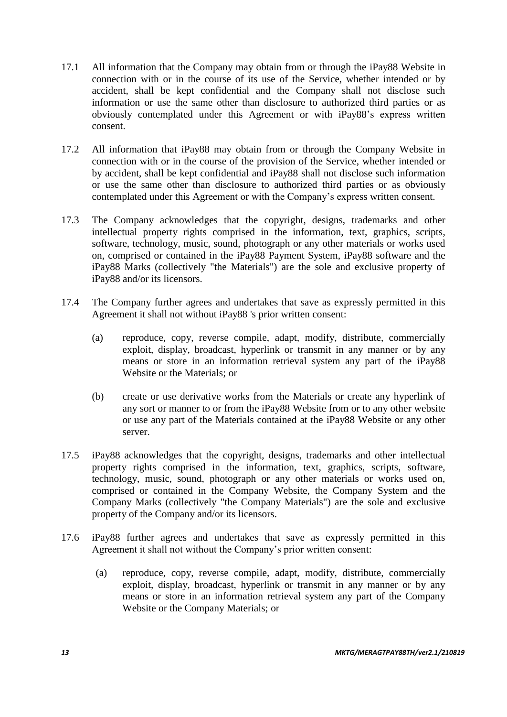- 17.1 All information that the Company may obtain from or through the iPay88 Website in connection with or in the course of its use of the Service, whether intended or by accident, shall be kept confidential and the Company shall not disclose such information or use the same other than disclosure to authorized third parties or as obviously contemplated under this Agreement or with iPay88's express written consent.
- 17.2 All information that iPay88 may obtain from or through the Company Website in connection with or in the course of the provision of the Service, whether intended or by accident, shall be kept confidential and iPay88 shall not disclose such information or use the same other than disclosure to authorized third parties or as obviously contemplated under this Agreement or with the Company's express written consent.
- 17.3 The Company acknowledges that the copyright, designs, trademarks and other intellectual property rights comprised in the information, text, graphics, scripts, software, technology, music, sound, photograph or any other materials or works used on, comprised or contained in the iPay88 Payment System, iPay88 software and the iPay88 Marks (collectively "the Materials") are the sole and exclusive property of iPay88 and/or its licensors.
- 17.4 The Company further agrees and undertakes that save as expressly permitted in this Agreement it shall not without iPay88 's prior written consent:
	- (a) reproduce, copy, reverse compile, adapt, modify, distribute, commercially exploit, display, broadcast, hyperlink or transmit in any manner or by any means or store in an information retrieval system any part of the iPay88 Website or the Materials; or
	- (b) create or use derivative works from the Materials or create any hyperlink of any sort or manner to or from the iPay88 Website from or to any other website or use any part of the Materials contained at the iPay88 Website or any other server.
- 17.5 iPay88 acknowledges that the copyright, designs, trademarks and other intellectual property rights comprised in the information, text, graphics, scripts, software, technology, music, sound, photograph or any other materials or works used on, comprised or contained in the Company Website, the Company System and the Company Marks (collectively "the Company Materials") are the sole and exclusive property of the Company and/or its licensors.
- 17.6 iPay88 further agrees and undertakes that save as expressly permitted in this Agreement it shall not without the Company's prior written consent:
	- (a) reproduce, copy, reverse compile, adapt, modify, distribute, commercially exploit, display, broadcast, hyperlink or transmit in any manner or by any means or store in an information retrieval system any part of the Company Website or the Company Materials; or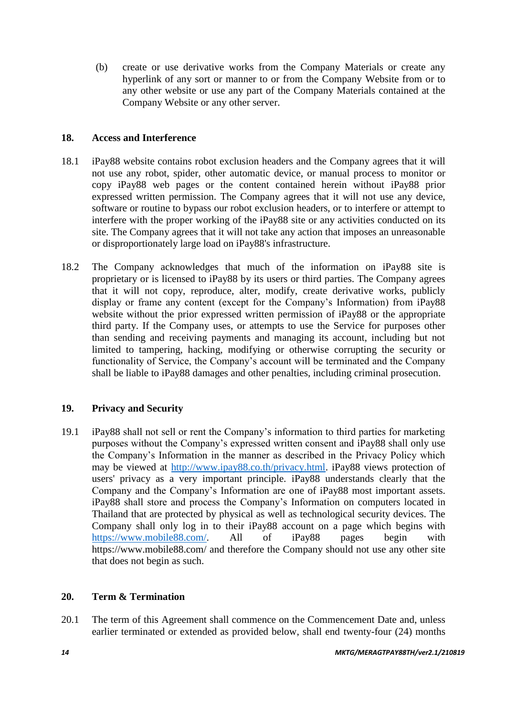(b) create or use derivative works from the Company Materials or create any hyperlink of any sort or manner to or from the Company Website from or to any other website or use any part of the Company Materials contained at the Company Website or any other server.

### **18. Access and Interference**

- 18.1 iPay88 website contains robot exclusion headers and the Company agrees that it will not use any robot, spider, other automatic device, or manual process to monitor or copy iPay88 web pages or the content contained herein without iPay88 prior expressed written permission. The Company agrees that it will not use any device, software or routine to bypass our robot exclusion headers, or to interfere or attempt to interfere with the proper working of the iPay88 site or any activities conducted on its site. The Company agrees that it will not take any action that imposes an unreasonable or disproportionately large load on iPay88's infrastructure.
- 18.2 The Company acknowledges that much of the information on iPay88 site is proprietary or is licensed to iPay88 by its users or third parties. The Company agrees that it will not copy, reproduce, alter, modify, create derivative works, publicly display or frame any content (except for the Company's Information) from iPay88 website without the prior expressed written permission of iPay88 or the appropriate third party. If the Company uses, or attempts to use the Service for purposes other than sending and receiving payments and managing its account, including but not limited to tampering, hacking, modifying or otherwise corrupting the security or functionality of Service, the Company's account will be terminated and the Company shall be liable to iPay88 damages and other penalties, including criminal prosecution.

### **19. Privacy and Security**

19.1 iPay88 shall not sell or rent the Company's information to third parties for marketing purposes without the Company's expressed written consent and iPay88 shall only use the Company's Information in the manner as described in the Privacy Policy which may be viewed at [http://www.ipay88.co.th/privacy.html.](http://www.ipay88.co.th/privacy.html) iPay88 views protection of users' privacy as a very important principle. iPay88 understands clearly that the Company and the Company's Information are one of iPay88 most important assets. iPay88 shall store and process the Company's Information on computers located in Thailand that are protected by physical as well as technological security devices. The Company shall only log in to their iPay88 account on a page which begins with [https://www.mobile88.com/.](https://www.mobile88.com/) All of iPay88 pages begin with https://www.mobile88.com/ and therefore the Company should not use any other site that does not begin as such.

### **20. Term & Termination**

20.1 The term of this Agreement shall commence on the Commencement Date and, unless earlier terminated or extended as provided below, shall end twenty-four (24) months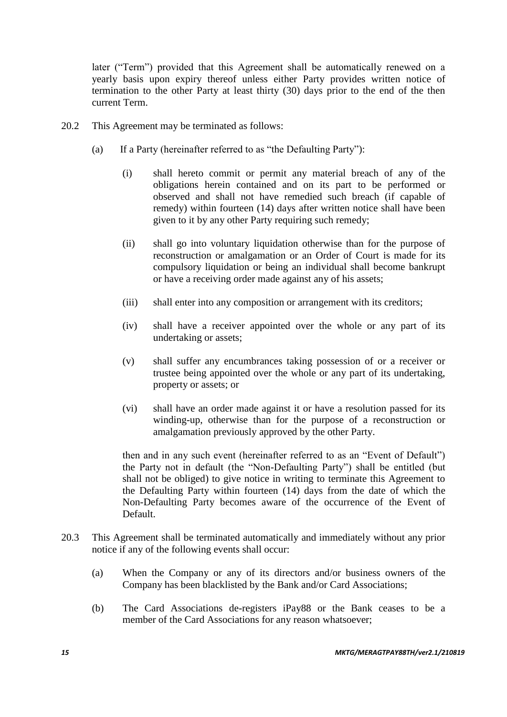later ("Term") provided that this Agreement shall be automatically renewed on a yearly basis upon expiry thereof unless either Party provides written notice of termination to the other Party at least thirty (30) days prior to the end of the then current Term.

- 20.2 This Agreement may be terminated as follows:
	- (a) If a Party (hereinafter referred to as "the Defaulting Party"):
		- (i) shall hereto commit or permit any material breach of any of the obligations herein contained and on its part to be performed or observed and shall not have remedied such breach (if capable of remedy) within fourteen (14) days after written notice shall have been given to it by any other Party requiring such remedy;
		- (ii) shall go into voluntary liquidation otherwise than for the purpose of reconstruction or amalgamation or an Order of Court is made for its compulsory liquidation or being an individual shall become bankrupt or have a receiving order made against any of his assets;
		- (iii) shall enter into any composition or arrangement with its creditors;
		- (iv) shall have a receiver appointed over the whole or any part of its undertaking or assets;
		- (v) shall suffer any encumbrances taking possession of or a receiver or trustee being appointed over the whole or any part of its undertaking, property or assets; or
		- (vi) shall have an order made against it or have a resolution passed for its winding-up, otherwise than for the purpose of a reconstruction or amalgamation previously approved by the other Party.

then and in any such event (hereinafter referred to as an "Event of Default") the Party not in default (the "Non-Defaulting Party") shall be entitled (but shall not be obliged) to give notice in writing to terminate this Agreement to the Defaulting Party within fourteen (14) days from the date of which the Non-Defaulting Party becomes aware of the occurrence of the Event of Default.

- 20.3 This Agreement shall be terminated automatically and immediately without any prior notice if any of the following events shall occur:
	- (a) When the Company or any of its directors and/or business owners of the Company has been blacklisted by the Bank and/or Card Associations;
	- (b) The Card Associations de-registers iPay88 or the Bank ceases to be a member of the Card Associations for any reason whatsoever;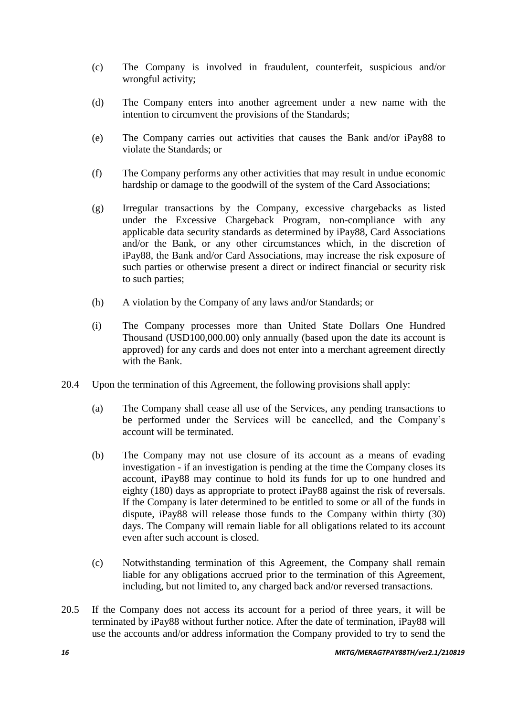- (c) The Company is involved in fraudulent, counterfeit, suspicious and/or wrongful activity;
- (d) The Company enters into another agreement under a new name with the intention to circumvent the provisions of the Standards;
- (e) The Company carries out activities that causes the Bank and/or iPay88 to violate the Standards; or
- (f) The Company performs any other activities that may result in undue economic hardship or damage to the goodwill of the system of the Card Associations;
- (g) Irregular transactions by the Company, excessive chargebacks as listed under the Excessive Chargeback Program, non-compliance with any applicable data security standards as determined by iPay88, Card Associations and/or the Bank, or any other circumstances which, in the discretion of iPay88, the Bank and/or Card Associations, may increase the risk exposure of such parties or otherwise present a direct or indirect financial or security risk to such parties;
- (h) A violation by the Company of any laws and/or Standards; or
- (i) The Company processes more than United State Dollars One Hundred Thousand (USD100,000.00) only annually (based upon the date its account is approved) for any cards and does not enter into a merchant agreement directly with the Bank.
- 20.4 Upon the termination of this Agreement, the following provisions shall apply:
	- (a) The Company shall cease all use of the Services, any pending transactions to be performed under the Services will be cancelled, and the Company's account will be terminated.
	- (b) The Company may not use closure of its account as a means of evading investigation - if an investigation is pending at the time the Company closes its account, iPay88 may continue to hold its funds for up to one hundred and eighty (180) days as appropriate to protect iPay88 against the risk of reversals. If the Company is later determined to be entitled to some or all of the funds in dispute, iPay88 will release those funds to the Company within thirty (30) days. The Company will remain liable for all obligations related to its account even after such account is closed.
	- (c) Notwithstanding termination of this Agreement, the Company shall remain liable for any obligations accrued prior to the termination of this Agreement, including, but not limited to, any charged back and/or reversed transactions.
- 20.5 If the Company does not access its account for a period of three years, it will be terminated by iPay88 without further notice. After the date of termination, iPay88 will use the accounts and/or address information the Company provided to try to send the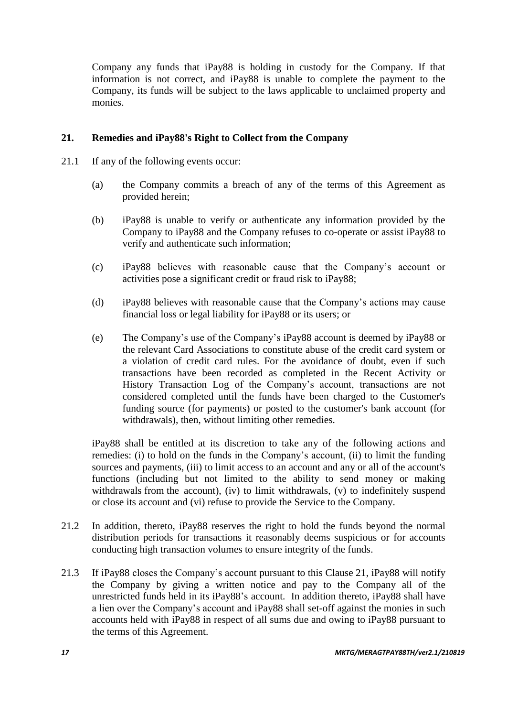Company any funds that iPay88 is holding in custody for the Company. If that information is not correct, and iPay88 is unable to complete the payment to the Company, its funds will be subject to the laws applicable to unclaimed property and monies.

### **21. Remedies and iPay88's Right to Collect from the Company**

- 21.1 If any of the following events occur:
	- (a) the Company commits a breach of any of the terms of this Agreement as provided herein;
	- (b) iPay88 is unable to verify or authenticate any information provided by the Company to iPay88 and the Company refuses to co-operate or assist iPay88 to verify and authenticate such information;
	- (c) iPay88 believes with reasonable cause that the Company's account or activities pose a significant credit or fraud risk to iPay88;
	- (d) iPay88 believes with reasonable cause that the Company's actions may cause financial loss or legal liability for iPay88 or its users; or
	- (e) The Company's use of the Company's iPay88 account is deemed by iPay88 or the relevant Card Associations to constitute abuse of the credit card system or a violation of credit card rules. For the avoidance of doubt, even if such transactions have been recorded as completed in the Recent Activity or History Transaction Log of the Company's account, transactions are not considered completed until the funds have been charged to the Customer's funding source (for payments) or posted to the customer's bank account (for withdrawals), then, without limiting other remedies.

iPay88 shall be entitled at its discretion to take any of the following actions and remedies: (i) to hold on the funds in the Company's account, (ii) to limit the funding sources and payments, (iii) to limit access to an account and any or all of the account's functions (including but not limited to the ability to send money or making withdrawals from the account), (iv) to limit withdrawals, (v) to indefinitely suspend or close its account and (vi) refuse to provide the Service to the Company.

- 21.2 In addition, thereto, iPay88 reserves the right to hold the funds beyond the normal distribution periods for transactions it reasonably deems suspicious or for accounts conducting high transaction volumes to ensure integrity of the funds.
- 21.3 If iPay88 closes the Company's account pursuant to this Clause 21, iPay88 will notify the Company by giving a written notice and pay to the Company all of the unrestricted funds held in its iPay88's account. In addition thereto, iPay88 shall have a lien over the Company's account and iPay88 shall set-off against the monies in such accounts held with iPay88 in respect of all sums due and owing to iPay88 pursuant to the terms of this Agreement.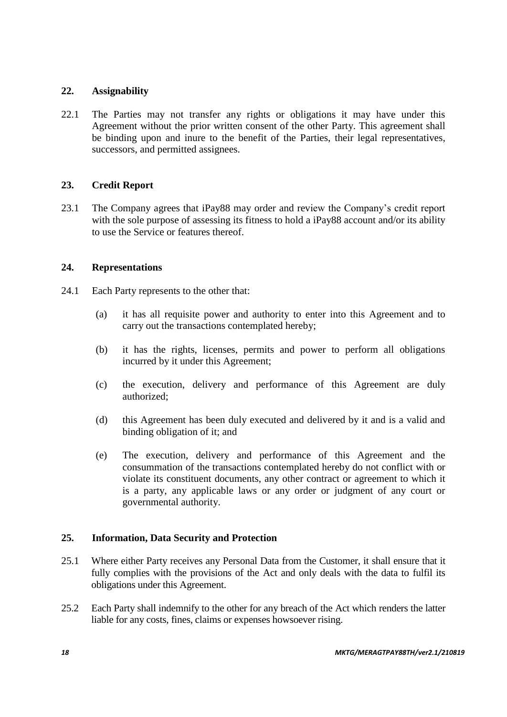### **22. Assignability**

22.1 The Parties may not transfer any rights or obligations it may have under this Agreement without the prior written consent of the other Party. This agreement shall be binding upon and inure to the benefit of the Parties, their legal representatives, successors, and permitted assignees.

### **23. Credit Report**

23.1 The Company agrees that iPay88 may order and review the Company's credit report with the sole purpose of assessing its fitness to hold a iPay88 account and/or its ability to use the Service or features thereof.

### **24. Representations**

- 24.1 Each Party represents to the other that:
	- (a) it has all requisite power and authority to enter into this Agreement and to carry out the transactions contemplated hereby;
	- (b) it has the rights, licenses, permits and power to perform all obligations incurred by it under this Agreement;
	- (c) the execution, delivery and performance of this Agreement are duly authorized;
	- (d) this Agreement has been duly executed and delivered by it and is a valid and binding obligation of it; and
	- (e) The execution, delivery and performance of this Agreement and the consummation of the transactions contemplated hereby do not conflict with or violate its constituent documents, any other contract or agreement to which it is a party, any applicable laws or any order or judgment of any court or governmental authority.

### **25. Information, Data Security and Protection**

- 25.1 Where either Party receives any Personal Data from the Customer, it shall ensure that it fully complies with the provisions of the Act and only deals with the data to fulfil its obligations under this Agreement.
- 25.2 Each Party shall indemnify to the other for any breach of the Act which renders the latter liable for any costs, fines, claims or expenses howsoever rising.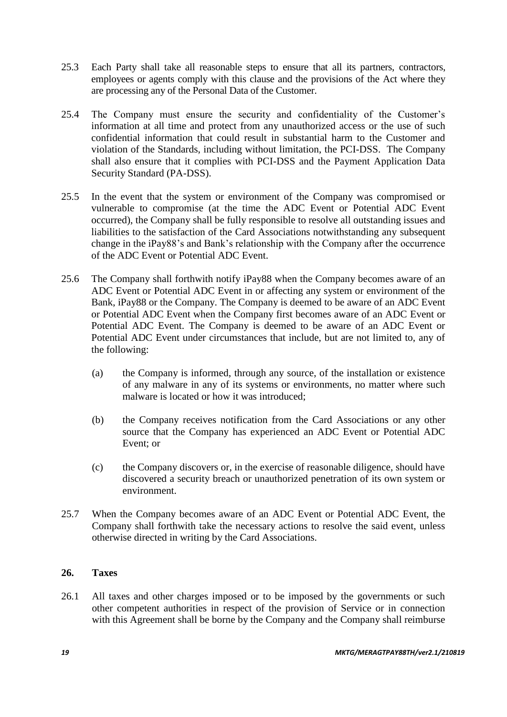- 25.3 Each Party shall take all reasonable steps to ensure that all its partners, contractors, employees or agents comply with this clause and the provisions of the Act where they are processing any of the Personal Data of the Customer.
- 25.4 The Company must ensure the security and confidentiality of the Customer's information at all time and protect from any unauthorized access or the use of such confidential information that could result in substantial harm to the Customer and violation of the Standards, including without limitation, the PCI-DSS. The Company shall also ensure that it complies with PCI-DSS and the Payment Application Data Security Standard (PA-DSS).
- 25.5 In the event that the system or environment of the Company was compromised or vulnerable to compromise (at the time the ADC Event or Potential ADC Event occurred), the Company shall be fully responsible to resolve all outstanding issues and liabilities to the satisfaction of the Card Associations notwithstanding any subsequent change in the iPay88's and Bank's relationship with the Company after the occurrence of the ADC Event or Potential ADC Event.
- 25.6 The Company shall forthwith notify iPay88 when the Company becomes aware of an ADC Event or Potential ADC Event in or affecting any system or environment of the Bank, iPay88 or the Company. The Company is deemed to be aware of an ADC Event or Potential ADC Event when the Company first becomes aware of an ADC Event or Potential ADC Event. The Company is deemed to be aware of an ADC Event or Potential ADC Event under circumstances that include, but are not limited to, any of the following:
	- (a) the Company is informed, through any source, of the installation or existence of any malware in any of its systems or environments, no matter where such malware is located or how it was introduced;
	- (b) the Company receives notification from the Card Associations or any other source that the Company has experienced an ADC Event or Potential ADC Event; or
	- (c) the Company discovers or, in the exercise of reasonable diligence, should have discovered a security breach or unauthorized penetration of its own system or environment.
- 25.7 When the Company becomes aware of an ADC Event or Potential ADC Event, the Company shall forthwith take the necessary actions to resolve the said event, unless otherwise directed in writing by the Card Associations.

### **26. Taxes**

26.1 All taxes and other charges imposed or to be imposed by the governments or such other competent authorities in respect of the provision of Service or in connection with this Agreement shall be borne by the Company and the Company shall reimburse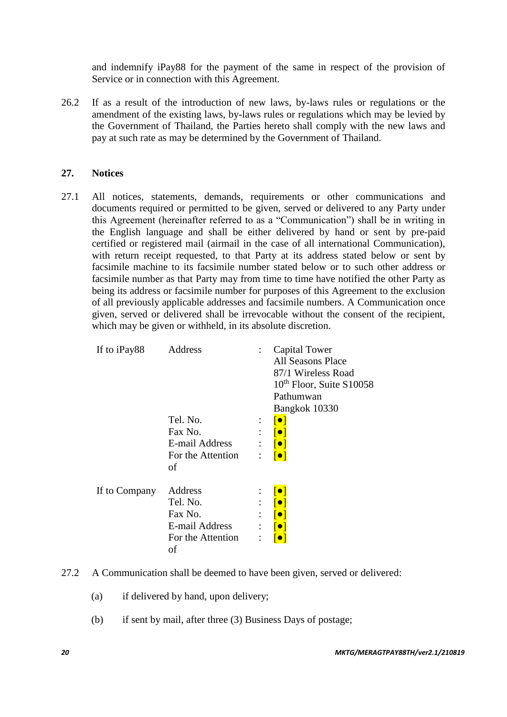and indemnify iPay88 for the payment of the same in respect of the provision of Service or in connection with this Agreement.

26.2 If as a result of the introduction of new laws, by-laws rules or regulations or the amendment of the existing laws, by-laws rules or regulations which may be levied by the Government of Thailand, the Parties hereto shall comply with the new laws and pay at such rate as may be determined by the Government of Thailand.

#### **27. Notices**

27.1 All notices, statements, demands, requirements or other communications and documents required or permitted to be given, served or delivered to any Party under this Agreement (hereinafter referred to as a "Communication") shall be in writing in the English language and shall be either delivered by hand or sent by pre-paid certified or registered mail (airmail in the case of all international Communication), with return receipt requested, to that Party at its address stated below or sent by facsimile machine to its facsimile number stated below or to such other address or facsimile number as that Party may from time to time have notified the other Party as being its address or facsimile number for purposes of this Agreement to the exclusion of all previously applicable addresses and facsimile numbers. A Communication once given, served or delivered shall be irrevocable without the consent of the recipient, which may be given or withheld, in its absolute discretion.

| If to iPay88  | Address                                                                     |                                             | Capital Tower<br>All Seasons Place<br>87/1 Wireless Road<br>10 <sup>th</sup> Floor, Suite S10058<br>Pathumwan<br>Bangkok 10330 |
|---------------|-----------------------------------------------------------------------------|---------------------------------------------|--------------------------------------------------------------------------------------------------------------------------------|
|               | Tel. No.<br>Fax No.<br>E-mail Address<br>For the Attention<br>οf            | $\ddot{\phantom{a}}$<br>$\ddot{\cdot}$<br>÷ | $  \bullet  $                                                                                                                  |
| If to Company | Address<br>Tel. No.<br>Fax No.<br>E-mail Address<br>For the Attention<br>οf | ٠<br>$\ddot{\cdot}$                         |                                                                                                                                |

- 27.2 A Communication shall be deemed to have been given, served or delivered:
	- (a) if delivered by hand, upon delivery;
	- (b) if sent by mail, after three (3) Business Days of postage;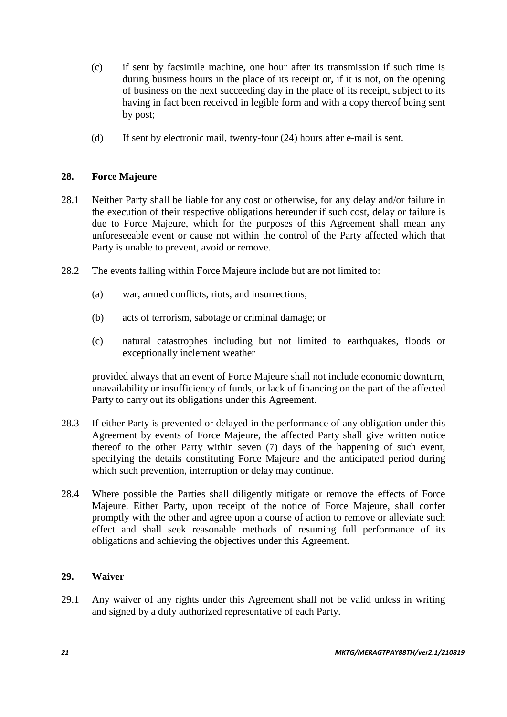- (c) if sent by facsimile machine, one hour after its transmission if such time is during business hours in the place of its receipt or, if it is not, on the opening of business on the next succeeding day in the place of its receipt, subject to its having in fact been received in legible form and with a copy thereof being sent by post;
- (d) If sent by electronic mail, twenty-four (24) hours after e-mail is sent.

### **28. Force Majeure**

- 28.1 Neither Party shall be liable for any cost or otherwise, for any delay and/or failure in the execution of their respective obligations hereunder if such cost, delay or failure is due to Force Majeure, which for the purposes of this Agreement shall mean any unforeseeable event or cause not within the control of the Party affected which that Party is unable to prevent, avoid or remove.
- 28.2 The events falling within Force Majeure include but are not limited to:
	- (a) war, armed conflicts, riots, and insurrections;
	- (b) acts of terrorism, sabotage or criminal damage; or
	- (c) natural catastrophes including but not limited to earthquakes, floods or exceptionally inclement weather

provided always that an event of Force Majeure shall not include economic downturn, unavailability or insufficiency of funds, or lack of financing on the part of the affected Party to carry out its obligations under this Agreement.

- 28.3 If either Party is prevented or delayed in the performance of any obligation under this Agreement by events of Force Majeure, the affected Party shall give written notice thereof to the other Party within seven (7) days of the happening of such event, specifying the details constituting Force Majeure and the anticipated period during which such prevention, interruption or delay may continue.
- 28.4 Where possible the Parties shall diligently mitigate or remove the effects of Force Majeure. Either Party, upon receipt of the notice of Force Majeure, shall confer promptly with the other and agree upon a course of action to remove or alleviate such effect and shall seek reasonable methods of resuming full performance of its obligations and achieving the objectives under this Agreement.

### **29. Waiver**

29.1 Any waiver of any rights under this Agreement shall not be valid unless in writing and signed by a duly authorized representative of each Party.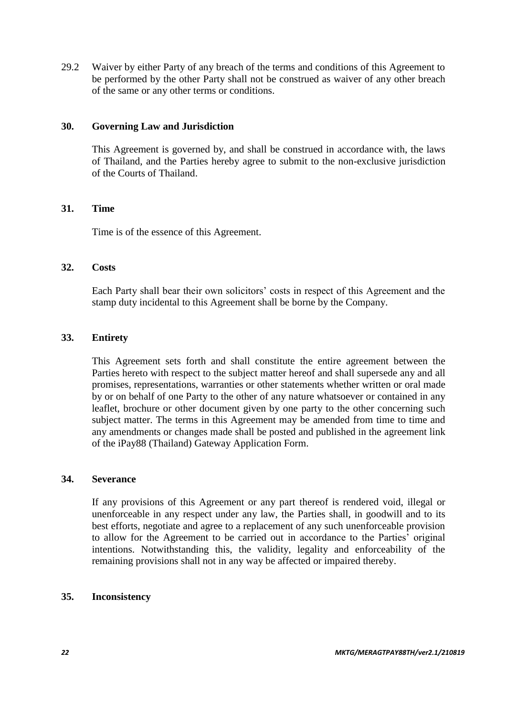29.2 Waiver by either Party of any breach of the terms and conditions of this Agreement to be performed by the other Party shall not be construed as waiver of any other breach of the same or any other terms or conditions.

### **30. Governing Law and Jurisdiction**

This Agreement is governed by, and shall be construed in accordance with, the laws of Thailand, and the Parties hereby agree to submit to the non-exclusive jurisdiction of the Courts of Thailand.

#### **31. Time**

Time is of the essence of this Agreement.

#### **32. Costs**

Each Party shall bear their own solicitors' costs in respect of this Agreement and the stamp duty incidental to this Agreement shall be borne by the Company.

#### **33. Entirety**

This Agreement sets forth and shall constitute the entire agreement between the Parties hereto with respect to the subject matter hereof and shall supersede any and all promises, representations, warranties or other statements whether written or oral made by or on behalf of one Party to the other of any nature whatsoever or contained in any leaflet, brochure or other document given by one party to the other concerning such subject matter. The terms in this Agreement may be amended from time to time and any amendments or changes made shall be posted and published in the agreement link of the iPay88 (Thailand) Gateway Application Form.

#### **34. Severance**

If any provisions of this Agreement or any part thereof is rendered void, illegal or unenforceable in any respect under any law, the Parties shall, in goodwill and to its best efforts, negotiate and agree to a replacement of any such unenforceable provision to allow for the Agreement to be carried out in accordance to the Parties' original intentions. Notwithstanding this, the validity, legality and enforceability of the remaining provisions shall not in any way be affected or impaired thereby.

### **35. Inconsistency**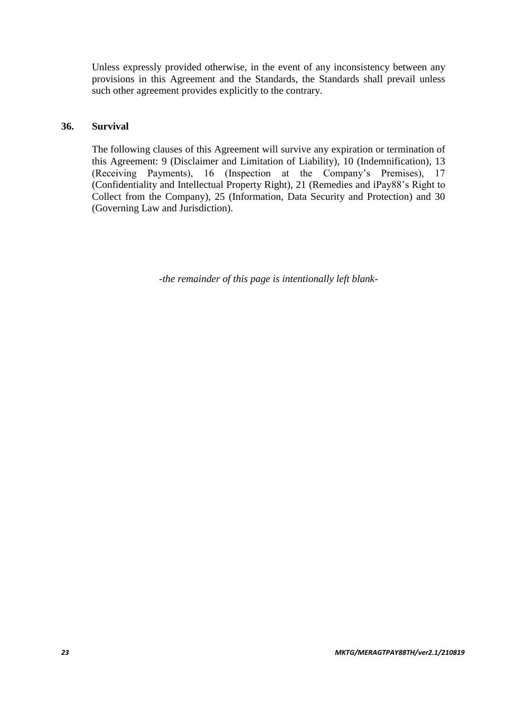Unless expressly provided otherwise, in the event of any inconsistency between any provisions in this Agreement and the Standards, the Standards shall prevail unless such other agreement provides explicitly to the contrary.

### **36. Survival**

The following clauses of this Agreement will survive any expiration or termination of this Agreement: 9 (Disclaimer and Limitation of Liability), 10 (Indemnification), 13 (Receiving Payments), 16 (Inspection at the Company's Premises), 17 (Confidentiality and Intellectual Property Right), 21 (Remedies and iPay88's Right to Collect from the Company), 25 (Information, Data Security and Protection) and 30 (Governing Law and Jurisdiction).

*-the remainder of this page is intentionally left blank-*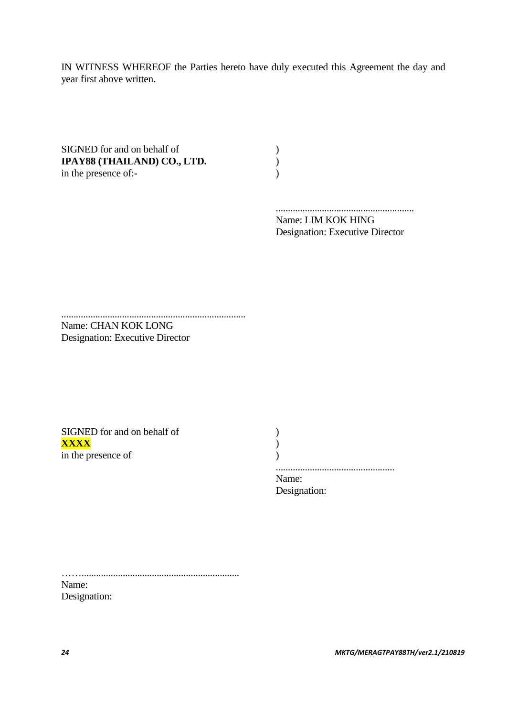IN WITNESS WHEREOF the Parties hereto have duly executed this Agreement the day and year first above written.

SIGNED for and on behalf of (a)<br> **IPAY88 (THAILAND) CO., LTD.**<br>
in the presence of:-**IPAY88 (THAILAND) CO., LTD.** ) in the presence of:-

......................................................... Name: LIM KOK HING Designation: Executive Director

............................................................................ Name: CHAN KOK LONG Designation: Executive Director

SIGNED for and on behalf of  $($ **XXXX** ) in the presence of )

 ................................................. Name:

Designation:

……………………………………………………………………………………… Name:

Designation: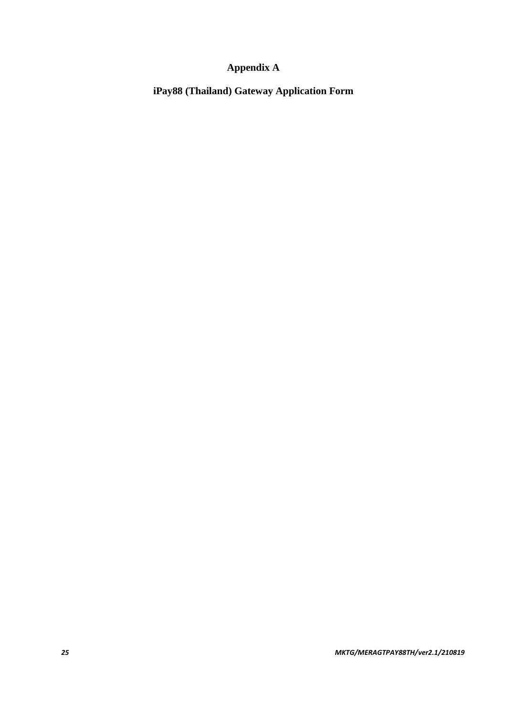# **Appendix A**

**iPay88 (Thailand) Gateway Application Form**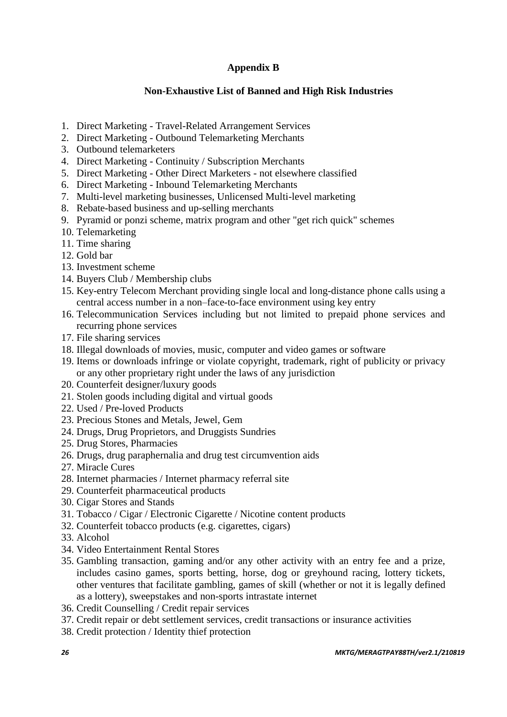### **Appendix B**

### **Non-Exhaustive List of Banned and High Risk Industries**

- 1. Direct Marketing Travel-Related Arrangement Services
- 2. Direct Marketing Outbound Telemarketing Merchants
- 3. Outbound telemarketers
- 4. Direct Marketing Continuity / Subscription Merchants
- 5. Direct Marketing Other Direct Marketers not elsewhere classified
- 6. Direct Marketing Inbound Telemarketing Merchants
- 7. Multi-level marketing businesses, Unlicensed Multi-level marketing
- 8. Rebate-based business and up-selling merchants
- 9. Pyramid or ponzi scheme, matrix program and other "get rich quick" schemes
- 10. Telemarketing
- 11. Time sharing
- 12. Gold bar
- 13. Investment scheme
- 14. Buyers Club / Membership clubs
- 15. Key-entry Telecom Merchant providing single local and long-distance phone calls using a central access number in a non–face-to-face environment using key entry
- 16. Telecommunication Services including but not limited to prepaid phone services and recurring phone services
- 17. File sharing services
- 18. Illegal downloads of movies, music, computer and video games or software
- 19. Items or downloads infringe or violate copyright, trademark, right of publicity or privacy or any other proprietary right under the laws of any jurisdiction
- 20. Counterfeit designer/luxury goods
- 21. Stolen goods including digital and virtual goods
- 22. Used / Pre-loved Products
- 23. Precious Stones and Metals, Jewel, Gem
- 24. Drugs, Drug Proprietors, and Druggists Sundries
- 25. Drug Stores, Pharmacies
- 26. Drugs, drug paraphernalia and drug test circumvention aids
- 27. Miracle Cures
- 28. Internet pharmacies / Internet pharmacy referral site
- 29. Counterfeit pharmaceutical products
- 30. Cigar Stores and Stands
- 31. Tobacco / Cigar / Electronic Cigarette / Nicotine content products
- 32. Counterfeit tobacco products (e.g. cigarettes, cigars)
- 33. Alcohol
- 34. Video Entertainment Rental Stores
- 35. Gambling transaction, gaming and/or any other activity with an entry fee and a prize, includes casino games, sports betting, horse, dog or greyhound racing, lottery tickets, other ventures that facilitate gambling, games of skill (whether or not it is legally defined as a lottery), sweepstakes and non-sports intrastate internet
- 36. Credit Counselling / Credit repair services
- 37. Credit repair or debt settlement services, credit transactions or insurance activities
- 38. Credit protection / Identity thief protection